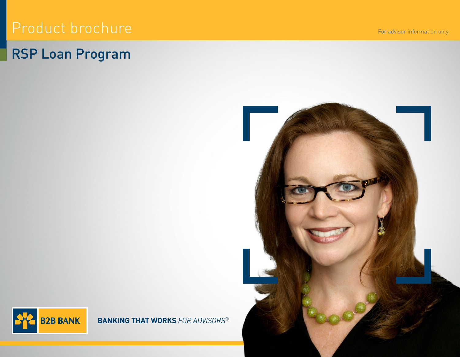# Product brochure

# RSP Loan Program

For advisor information only





**BANKING THAT WORKS** *FOR ADVISORS*®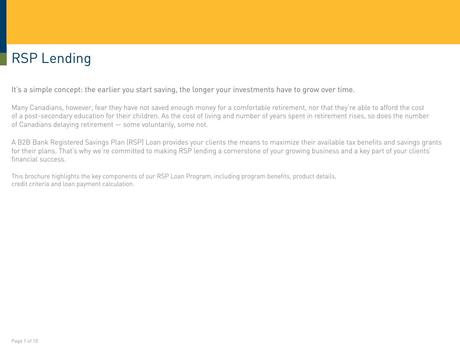# RSP Lending

It's a simple concept: the earlier you start saving, the longer your investments have to grow over time.

Many Canadians, however, fear they have not saved enough money for a comfortable retirement, nor that they're able to afford the cost of a post-secondary education for their children. As the cost of living and number of years spent in retirement rises, so does the number of Canadians delaying retirement — some voluntarily, some not.

A B2B Bank Registered Savings Plan (RSP) Loan provides your clients the means to maximize their available tax benefits and savings grants for their plans. That's why we're committed to making RSP lending a cornerstone of your growing business and a key part of your clients' financial success.

This brochure highlights the key components of our RSP Loan Program, including program benefits, product details, credit criteria and loan payment calculation.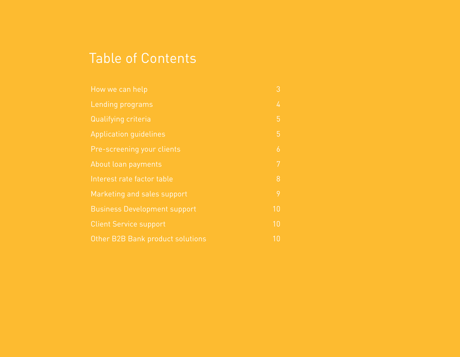## Table of Contents

| How we can help                     | 3  |
|-------------------------------------|----|
| Lending programs                    | 4  |
| Qualifying criteria                 | 5  |
| <b>Application guidelines</b>       | 5  |
| Pre-screening your clients          | 6  |
| About loan payments                 | 7  |
| Interest rate factor table          | 8  |
| Marketing and sales support         | 9  |
| <b>Business Development support</b> | 10 |
| <b>Client Service support</b>       | 10 |
| Other B2B Bank product solutions    | 10 |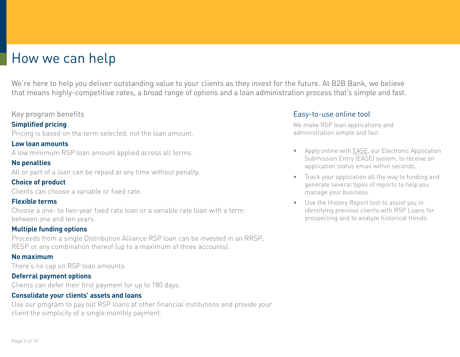## <span id="page-3-0"></span>How we can help

We're here to help you deliver outstanding value to your clients as they invest for the future. At B2B Bank, we believe that means highly-competitive rates, a broad range of options and a loan administration process that's simple and fast.

#### Key program benefits

## **Simplified pricing**

Pricing is based on the term selected, not the loan amount.

### **Low loan amounts**

A low minimum RSP loan amount applied across all terms.

## **No penalties**

All or part of a loan can be repaid at any time without penalty.

## **Choice of product**

Clients can choose a variable or fixed rate.

### **Flexible terms**

Choose a one- to two-year fixed rate loan or a variable rate loan with a term between one and ten years.

## **Multiple funding options**

Proceeds from a single Distribution Alliance RSP loan can be invested in an RRSP, RESP or any combination thereof (up to a maximum of three accounts).

### **No maximum**

There's no cap on RSP loan amounts.

## **Deferral payment options**

Clients can defer their first payment for up to 180 days.

## **Consolidate your clients' assets and loans**

Use our program to pay out RSP loans at other financial institutions and provide your client the simplicity of a single monthly payment.

## Easy-to-use online tool

We make RSP loan applications and administration simple and fast.

- Apply online with [EASE](http://b2bbank.com/ease), our Electronic Application Submission Entry (EASE) system, to receive an application status email within seconds.
- Track your application all the way to funding and generate several types of reports to help you manage your business.
- Use the History Report tool to assist you in identifying previous clients with RSP Loans for prospecting and to analyze historical trends.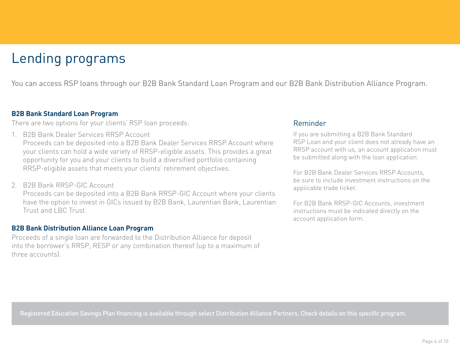# <span id="page-4-0"></span>Lending programs

You can access RSP loans through our B2B Bank Standard Loan Program and our B2B Bank Distribution Alliance Program.

#### **B2B Bank Standard Loan Program**

There are two options for your clients' RSP loan proceeds:

1. B2B Bank Dealer Services RRSP Account

Proceeds can be deposited into a B2B Bank Dealer Services RRSP Account where your clients can hold a wide variety of RRSP-eligible assets. This provides a great opportunity for you and your clients to build a diversified portfolio containing RRSP-eligible assets that meets your clients' retirement objectives.

2. B2B Bank RRSP-GIC Account

Proceeds can be deposited into a B2B Bank RRSP-GIC Account where your clients have the option to invest in GICs issued by B2B Bank, Laurentian Bank, Laurentian Trust and LBC Trust.

#### **B2B Bank Distribution Alliance Loan Program**

Proceeds of a single loan are forwarded to the Distribution Alliance for deposit into the borrower's RRSP, RESP or any combination thereof (up to a maximum of three accounts).

### Reminder

If you are submitting a B2B Bank Standard RSP Loan and your client does not already have an RRSP account with us, an account application must be submitted along with the loan application.

For B2B Bank Dealer Services RRSP Accounts, be sure to include investment instructions on the applicable trade ticket.

For B2B Bank RRSP-GIC Accounts, investment instructions must be indicated directly on the account application form.

Registered Education Savings Plan financing is available through select Distribution Alliance Partners. Check details on this specific program.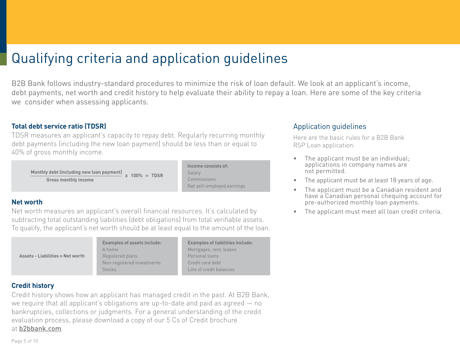# <span id="page-5-0"></span>Qualifying criteria and application guidelines

B2B Bank follows industry-standard procedures to minimize the risk of loan default. We look at an applicant's income, debt payments, net worth and credit history to help evaluate their ability to repay a loan. Here are some of the key criteria we consider when assessing applicants.

### **Total debt service ratio (TDSR)**

TDSR measures an applicant's capacity to repay debt. Regularly recurring monthly debt payments (including the new loan payment) should be less than or equal to 40% of gross monthly income.

 **Monthly debt (including new loan payment) x 100% = TDSR Gross monthly income**

**Income consists of:** Salary **Commissions** Net self-employed earnings

> **Examples of liabilities include:** leases

lances

### **Net worth**

Asse

Net worth measures an applicant's overall financial resources. It's calculated by subtracting total outstanding liabilities (debt obligations) from total verifiable assets. To qualify, the applicant's net worth should be at least equal to the amount of the loan.

|                               | <b>Examples of assets include:</b> | <b>Examples of lial</b> |
|-------------------------------|------------------------------------|-------------------------|
|                               | A home                             | Mortgages, rent,        |
| ts - Liabilities = Net worth! | Registered plans                   | Personal loans          |
|                               | Non-registered investments         | Credit card debt        |
|                               | <b>Stocks</b>                      | Line of credit ba       |

### **Credit history**

Credit history shows how an applicant has managed credit in the past. At B2B Bank, we require that all applicant's obligations are up-to-date and paid as agreed — no bankruptcies, collections or judgments. For a general understanding of the credit evaluation process, please download a copy of our 5 Cs of Credit brochure at [b2bbank.com](https://b2bbank.com/marketing-material/).

## Application guidelines

Here are the basic rules for a B2B Bank RSP Loan application:

- The applicant must be an individual; applications in company names are not permitted.
- The applicant must be at least 18 years of age.
- The applicant must be a Canadian resident and have a Canadian personal chequing account for pre-authorized monthly loan payments.
- The applicant must meet all loan credit criteria.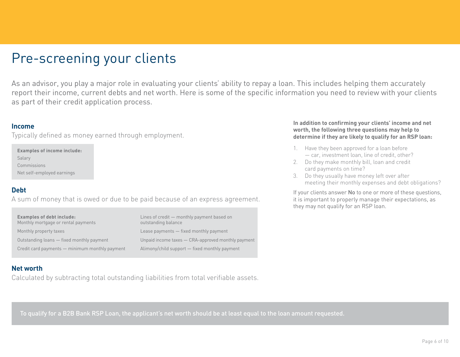## <span id="page-6-0"></span>Pre-screening your clients

As an advisor, you play a major role in evaluating your clients' ability to repay a loan. This includes helping them accurately report their income, current debts and net worth. Here is some of the specific information you need to review with your clients as part of their credit application process.

#### **Income**

Typically defined as money earned through employment.

**Examples of income include:** Salary Commissions Net self-employed earnings

#### **Debt**

A sum of money that is owed or due to be paid because of an express agreement.

| Examples of debt include:<br>Monthly mortgage or rental payments | Lines of credit - monthly payment based on<br>outstanding balance |
|------------------------------------------------------------------|-------------------------------------------------------------------|
| Monthly property taxes                                           | Lease payments - fixed monthly payment                            |
| Outstanding loans - fixed monthly payment                        | Unpaid income taxes - CRA-approved monthly payment                |
| Credit card payments - minimum monthly payment                   | Alimony/child support - fixed monthly payment                     |

#### **Net worth**

Calculated by subtracting total outstanding liabilities from total verifiable assets.

#### **In addition to confirming your clients' income and net worth, the following three questions may help to determine if they are likely to qualify for an RSP loan:**

- 1. Have they been approved for a loan before — car, investment loan, line of credit, other?
- 2. Do they make monthly bill, loan and credit card payments on time?
- 3. Do they usually have money left over after meeting their monthly expenses and debt obligations?

If your clients answer No to one or more of these questions, it is important to properly manage their expectations, as they may not qualify for an RSP loan.

To qualify for a B2B Bank RSP Loan, the applicant's net worth should be at least equal to the loan amount requested.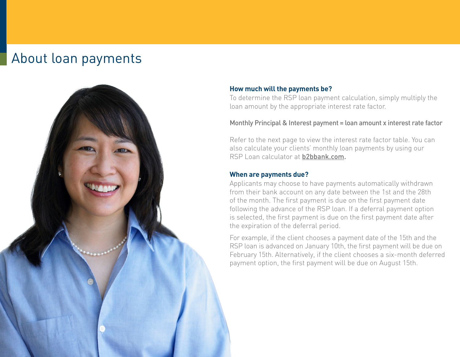## <span id="page-7-0"></span>About loan payments



#### **How much will the payments be?**

To determine the RSP loan payment calculation, simply multiply the loan amount by the appropriate interest rate factor.

#### Monthly Principal & Interest payment = loan amount x interest rate factor

Refer to the next page to view the interest rate factor table. You can also calculate your clients' monthly loan payments by using our RSP Loan calculator at [b2bbank.com.](https://b2bbank.com/calculators/rrsp-loan-calculator)

#### **When are payments due?**

Applicants may choose to have payments automatically withdrawn from their bank account on any date between the 1st and the 28th of the month. The first payment is due on the first payment date following the advance of the RSP loan. If a deferral payment option is selected, the first payment is due on the first payment date after the expiration of the deferral period.

For example, if the client chooses a payment date of the 15th and the RSP loan is advanced on January 10th, the first payment will be due on February 15th. Alternatively, if the client chooses a six-month deferred payment option, the first payment will be due on August 15th.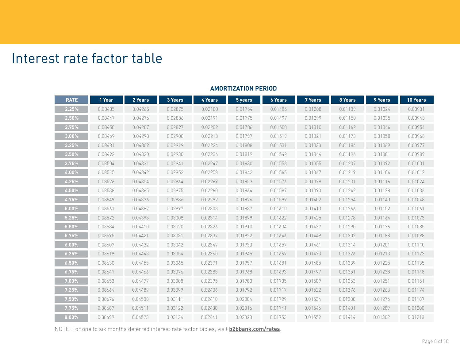## <span id="page-8-0"></span>Interest rate factor table

| <b>RATE</b> | 1 Year  | 2 Years | 3 Years | 4 Years | 5 years | <b>6 Years</b> | 7 Years | 8 Years | 9 Years | <b>10 Years</b> |
|-------------|---------|---------|---------|---------|---------|----------------|---------|---------|---------|-----------------|
| 2.25%       | 0.08435 | 0.04265 | 0.02875 | 0.02180 | 0.01764 | 0.01486        | 0.01288 | 0.01139 | 0.01024 | 0.00931         |
| 2.50%       | 0.08447 | 0.04276 | 0.02886 | 0.02191 | 0.01775 | 0.01497        | 0.01299 | 0.01150 | 0.01035 | 0.00943         |
| 2.75%       | 0.08458 | 0.04287 | 0.02897 | 0.02202 | 0.01786 | 0.01508        | 0.01310 | 0.01162 | 0.01046 | 0.00954         |
| 3.00%       | 0.08469 | 0.04298 | 0.02908 | 0.02213 | 0.01797 | 0.01519        | 0.01321 | 0.01173 | 0.01058 | 0.00966         |
| 3.25%       | 0.08481 | 0.04309 | 0.02919 | 0.02224 | 0.01808 | 0.01531        | 0.01333 | 0.01184 | 0.01069 | 0.00977         |
| 3.50%       | 0.08492 | 0.04320 | 0.02930 | 0.02236 | 0.01819 | 0.01542        | 0.01344 | 0.01196 | 0.01081 | 0.00989         |
| 3.75%       | 0.08504 | 0.04331 | 0.02941 | 0.02247 | 0.01830 | 0.01553        | 0.01355 | 0.01207 | 0.01092 | 0.01001         |
| 4.00%       | 0.08515 | 0.04342 | 0.02952 | 0.02258 | 0.01842 | 0.01565        | 0.01367 | 0.01219 | 0.01104 | 0.01012         |
| 4.25%       | 0.08526 | 0.04354 | 0.02964 | 0.02269 | 0.01853 | 0.01576        | 0.01378 | 0.01231 | 0.01116 | 0.01024         |
| 4.50%       | 0.08538 | 0.04365 | 0.02975 | 0.02280 | 0.01864 | 0.01587        | 0.01390 | 0.01242 | 0.01128 | 0.01036         |
| 4.75%       | 0.08549 | 0.04376 | 0.02986 | 0.02292 | 0.01876 | 0.01599        | 0.01402 | 0.01254 | 0.01140 | 0.01048         |
| 5.00%       | 0.08561 | 0.04387 | 0.02997 | 0.02303 | 0.01887 | 0.01610        | 0.01413 | 0.01266 | 0.01152 | 0.01061         |
| 5.25%       | 0.08572 | 0.04398 | 0.03008 | 0.02314 | 0.01899 | 0.01622        | 0.01425 | 0.01278 | 0.01164 | 0.01073         |
| 5.50%       | 0.08584 | 0.04410 | 0.03020 | 0.02326 | 0.01910 | 0.01634        | 0.01437 | 0.01290 | 0.01176 | 0.01085         |
| 5.75%       | 0.08595 | 0.04421 | 0.03031 | 0.02337 | 0.01922 | 0.01646        | 0.01449 | 0.01302 | 0.01188 | 0.01098         |
| 6.00%       | 0.08607 | 0.04432 | 0.03042 | 0.02349 | 0.01933 | 0.01657        | 0.01461 | 0.01314 | 0.01201 | 0.01110         |
| 6.25%       | 0.08618 | 0.04443 | 0.03054 | 0.02360 | 0.01945 | 0.01669        | 0.01473 | 0.01326 | 0.01213 | 0.01123         |
| 6.50%       | 0.08630 | 0.04455 | 0.03065 | 0.02371 | 0.01957 | 0.01681        | 0.01485 | 0.01339 | 0.01225 | 0.01135         |
| 6.75%       | 0.08641 | 0.04466 | 0.03076 | 0.02383 | 0.01968 | 0.01693        | 0.01497 | 0.01351 | 0.01238 | 0.01148         |
| 7.00%       | 0.08653 | 0.04477 | 0.03088 | 0.02395 | 0.01980 | 0.01705        | 0.01509 | 0.01363 | 0.01251 | 0.01161         |
| 7.25%       | 0.08664 | 0.04489 | 0.03099 | 0.02406 | 0.01992 | 0.01717        | 0.01522 | 0.01376 | 0.01263 | 0.01174         |
| 7.50%       | 0.08676 | 0.04500 | 0.03111 | 0.02418 | 0.02004 | 0.01729        | 0.01534 | 0.01388 | 0.01276 | 0.01187         |
| 7.75%       | 0.08687 | 0.04511 | 0.03122 | 0.02430 | 0.02016 | 0.01741        | 0.01546 | 0.01401 | 0.01289 | 0.01200         |
| 8.00%       | 0.08699 | 0.04523 | 0.03134 | 0.02441 | 0.02028 | 0.01753        | 0.01559 | 0.01414 | 0.01302 | 0.01213         |

#### **AMORTIZATION PERIOD**

NOTE: For one to six months deferred interest rate factor tables, visit **[b2bbank.com](https://b2bbank.com/rates)/rates**.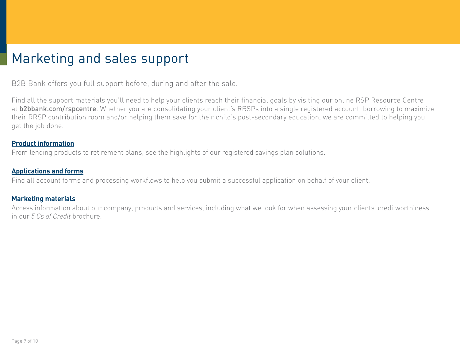## <span id="page-9-0"></span>Marketing and sales support

B2B Bank offers you full support before, during and after the sale.

Find all the support materials you'll need to help your clients reach their financial goals by visiting our online RSP Resource Centre at **[b2bbank.com/rspcentre](http://b2bbank.com/rspcentre)**. Whether you are consolidating your client's RRSPs into a single registered account, borrowing to maximize their RRSP contribution room and/or helping them save for their child's post-secondary education, we are committed to helping you get the job done.

#### **[Product information](https://b2bbank.com/rspcentre/)**

From lending products to retirement plans, see the highlights of our registered savings plan solutions.

#### **[Applications and forms](https://b2bbank.com/forms/index)**

Find all account forms and processing workflows to help you submit a successful application on behalf of your client.

#### **[Marketing materials](https://b2bbank.com/marketing-material/index)**

Access information about our company, products and services, including what we look for when assessing your clients' creditworthiness in our *5 Cs of Credit* brochure.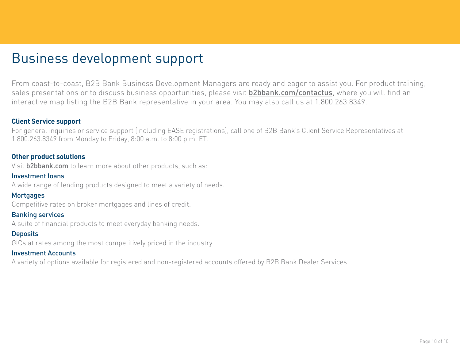## <span id="page-10-0"></span>Business development support

From coast-to-coast, B2B Bank Business Development Managers are ready and eager to assist you. For product training, sales presentations or to discuss business opportunities, please visit **[b2bbank.com/contactus](http://b2bbank.com/contactus)**, where you will find an interactive map listing the B2B Bank representative in your area. You may also call us at 1.800.263.8349.

#### **Client Service support**

For general inquiries or service support (including EASE registrations), call one of B2B Bank's Client Service Representatives at 1.800.263.8349 from Monday to Friday, 8:00 a.m. to 8:00 p.m. ET.

#### **Other product solutions**

Visit [b2bbank.com](http://b2bbank.com) to learn more about other products, such as:

### Investment loans

A wide range of lending products designed to meet a variety of needs.

#### **Mortgages**

Competitive rates on broker mortgages and lines of credit.

#### Banking services

A suite of financial products to meet everyday banking needs.

### **Deposits**

GICs at rates among the most competitively priced in the industry.

#### Investment Accounts

A variety of options available for registered and non-registered accounts offered by B2B Bank Dealer Services.